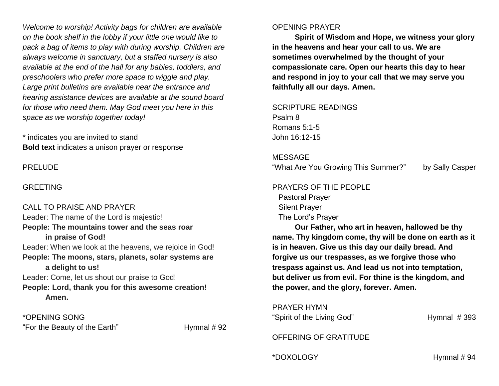*Welcome to worship! Activity bags for children are available on the book shelf in the lobby if your little one would like to pack a bag of items to play with during worship. Children are always welcome in sanctuary, but a staffed nursery is also available at the end of the hall for any babies, toddlers, and preschoolers who prefer more space to wiggle and play. Large print bulletins are available near the entrance and hearing assistance devices are available at the sound board for those who need them. May God meet you here in this space as we worship together today!*

\* indicates you are invited to stand **Bold text** indicates a unison prayer or response

PRELUDE

#### GREETING

CALL TO PRAISE AND PRAYER Leader: The name of the Lord is majestic! **People: The mountains tower and the seas roar in praise of God!** Leader: When we look at the heavens, we rejoice in God! **People: The moons, stars, planets, solar systems are a delight to us!** Leader: Come, let us shout our praise to God! **People: Lord, thank you for this awesome creation! Amen.**

\*OPENING SONG "For the Beauty of the Earth" Hymnal # 92

#### OPENING PRAYER

**Spirit of Wisdom and Hope, we witness your glory in the heavens and hear your call to us. We are sometimes overwhelmed by the thought of your compassionate care. Open our hearts this day to hear and respond in joy to your call that we may serve you faithfully all our days. Amen.**

SCRIPTURE READINGS Psalm 8 Romans 5:1-5 John 16:12-15

#### MESSAGE

"What Are You Growing This Summer?" by Sally Casper

# PRAYERS OF THE PEOPLE Pastoral Prayer Silent Prayer

The Lord's Prayer

**Our Father, who art in heaven, hallowed be thy name. Thy kingdom come, thy will be done on earth as it is in heaven. Give us this day our daily bread. And forgive us our trespasses, as we forgive those who trespass against us. And lead us not into temptation, but deliver us from evil. For thine is the kingdom, and the power, and the glory, forever. Amen.**

PRAYER HYMN "Spirit of the Living God" Hymnal # 393

OFFERING OF GRATITUDE

\*DOXOLOGY Hymnal # 94